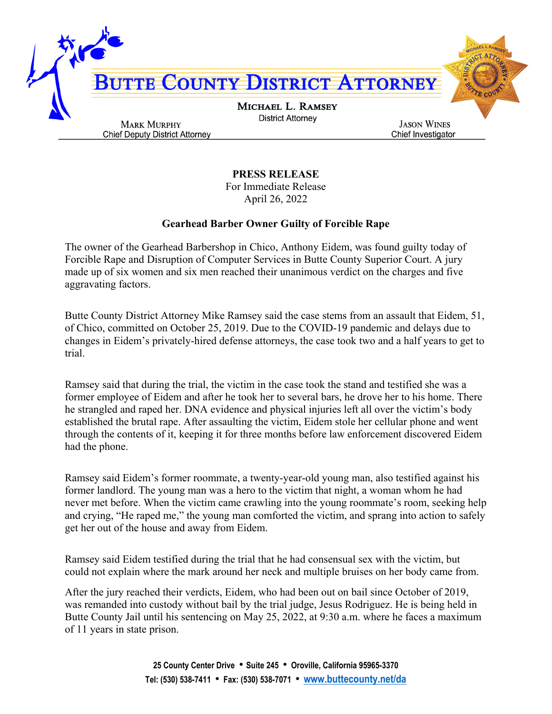

**PRESS RELEASE**

For Immediate Release April 26, 2022

## **Gearhead Barber Owner Guilty of Forcible Rape**

The owner of the Gearhead Barbershop in Chico, Anthony Eidem, was found guilty today of Forcible Rape and Disruption of Computer Services in Butte County Superior Court. A jury made up of six women and six men reached their unanimous verdict on the charges and five aggravating factors.

Butte County District Attorney Mike Ramsey said the case stems from an assault that Eidem, 51, of Chico, committed on October 25, 2019. Due to the COVID-19 pandemic and delays due to changes in Eidem's privately-hired defense attorneys, the case took two and a half years to get to trial.

Ramsey said that during the trial, the victim in the case took the stand and testified she was a former employee of Eidem and after he took her to several bars, he drove her to his home. There he strangled and raped her. DNA evidence and physical injuries left all over the victim's body established the brutal rape. After assaulting the victim, Eidem stole her cellular phone and went through the contents of it, keeping it for three months before law enforcement discovered Eidem had the phone.

Ramsey said Eidem's former roommate, a twenty-year-old young man, also testified against his former landlord. The young man was a hero to the victim that night, a woman whom he had never met before. When the victim came crawling into the young roommate's room, seeking help and crying, "He raped me," the young man comforted the victim, and sprang into action to safely get her out of the house and away from Eidem.

Ramsey said Eidem testified during the trial that he had consensual sex with the victim, but could not explain where the mark around her neck and multiple bruises on her body came from.

After the jury reached their verdicts, Eidem, who had been out on bail since October of 2019, was remanded into custody without bail by the trial judge, Jesus Rodriguez. He is being held in Butte County Jail until his sentencing on May 25, 2022, at 9:30 a.m. where he faces a maximum of 11 years in state prison.